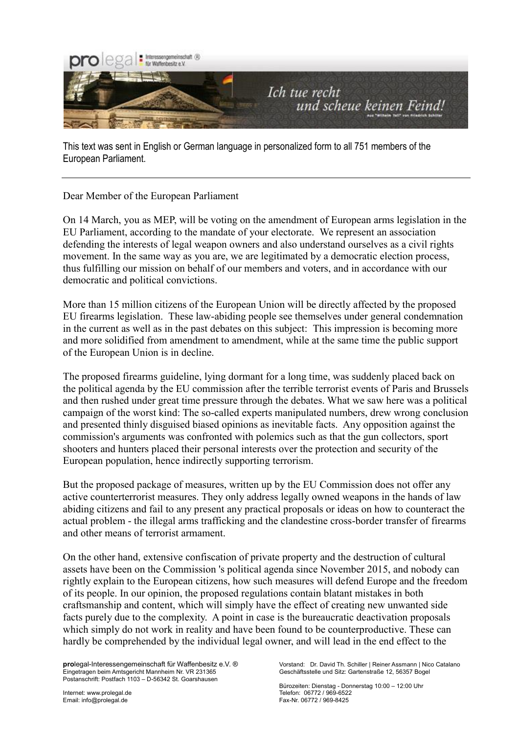

This text was sent in English or German language in personalized form to all 751 members of the European Parliament.

Dear Member of the European Parliament

On 14 March, you as MEP, will be voting on the amendment of European arms legislation in the EU Parliament, according to the mandate of your electorate. We represent an association defending the interests of legal weapon owners and also understand ourselves as a civil rights movement. In the same way as you are, we are legitimated by a democratic election process, thus fulfilling our mission on behalf of our members and voters, and in accordance with our democratic and political convictions.

More than 15 million citizens of the European Union will be directly affected by the proposed EU firearms legislation. These law-abiding people see themselves under general condemnation in the current as well as in the past debates on this subject: This impression is becoming more and more solidified from amendment to amendment, while at the same time the public support of the European Union is in decline.

The proposed firearms guideline, lying dormant for a long time, was suddenly placed back on the political agenda by the EU commission after the terrible terrorist events of Paris and Brussels and then rushed under great time pressure through the debates. What we saw here was a political campaign of the worst kind: The so-called experts manipulated numbers, drew wrong conclusion and presented thinly disguised biased opinions as inevitable facts. Any opposition against the commission's arguments was confronted with polemics such as that the gun collectors, sport shooters and hunters placed their personal interests over the protection and security of the European population, hence indirectly supporting terrorism.

But the proposed package of measures, written up by the EU Commission does not offer any active counterterrorist measures. They only address legally owned weapons in the hands of law abiding citizens and fail to any present any practical proposals or ideas on how to counteract the actual problem - the illegal arms trafficking and the clandestine cross-border transfer of firearms and other means of terrorist armament.

On the other hand, extensive confiscation of private property and the destruction of cultural assets have been on the Commission 's political agenda since November 2015, and nobody can rightly explain to the European citizens, how such measures will defend Europe and the freedom of its people. In our opinion, the proposed regulations contain blatant mistakes in both craftsmanship and content, which will simply have the effect of creating new unwanted side facts purely due to the complexity. A point in case is the bureaucratic deactivation proposals which simply do not work in reality and have been found to be counterproductive. These can hardly be comprehended by the individual legal owner, and will lead in the end effect to the

**prol**egal-Interessengemeinschaft für Waffenbesitz e.V. ® vorstand: Dr. David Th. Schiller | Reiner Assmann | Nico Catalano<br>Eingetragen beim Amtsgericht Mannheim Nr. VR 231365 **Beischaftsstelle und Sitz: Gartenstraße 12. 5** Eingetragen beim Amtsgericht Mannheim Nr. VR 231365 Postanschrift: Postfach 1103 – D-56342 St. Goarshausen

Internet: www.prolegal.de Telefon: 06772 / 969-6522

Bürozeiten: Dienstag - Donnerstag 10:00 – 12:00 Uhr Fax-Nr. 06772 / 969-8425